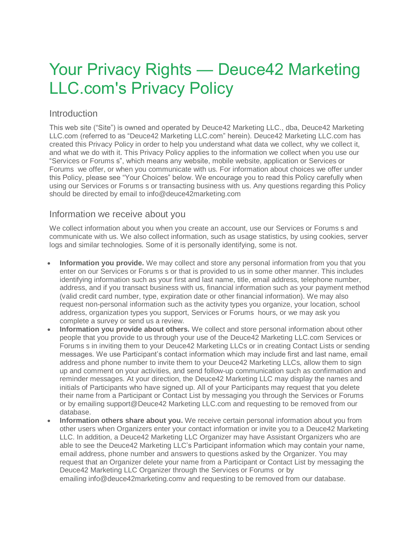# Your Privacy Rights — Deuce42 Marketing LLC.com's Privacy Policy

## Introduction

This web site ("Site") is owned and operated by Deuce42 Marketing LLC., dba, Deuce42 Marketing LLC.com (referred to as "Deuce42 Marketing LLC.com" herein). Deuce42 Marketing LLC.com has created this Privacy Policy in order to help you understand what data we collect, why we collect it, and what we do with it. This Privacy Policy applies to the information we collect when you use our "Services or Forums s", which means any website, mobile website, application or Services or Forums we offer, or when you communicate with us. For information about choices we offer under this Policy, please see "Your Choices" below. We encourage you to read this Policy carefully when using our Services or Forums s or transacting business with us. Any questions regarding this Policy should be directed by email to info@deuce42marketing.com

#### Information we receive about you

We collect information about you when you create an account, use our Services or Forums s and communicate with us. We also collect information, such as usage statistics, by using cookies, server logs and similar technologies. Some of it is personally identifying, some is not.

- **Information you provide.** We may collect and store any personal information from you that you enter on our Services or Forums s or that is provided to us in some other manner. This includes identifying information such as your first and last name, title, email address, telephone number, address, and if you transact business with us, financial information such as your payment method (valid credit card number, type, expiration date or other financial information). We may also request non-personal information such as the activity types you organize, your location, school address, organization types you support, Services or Forums hours, or we may ask you complete a survey or send us a review.
- **Information you provide about others.** We collect and store personal information about other people that you provide to us through your use of the Deuce42 Marketing LLC.com Services or Forums s in inviting them to your Deuce42 Marketing LLCs or in creating Contact Lists or sending messages. We use Participant's contact information which may include first and last name, email address and phone number to invite them to your Deuce42 Marketing LLCs, allow them to sign up and comment on your activities, and send follow-up communication such as confirmation and reminder messages. At your direction, the Deuce42 Marketing LLC may display the names and initials of Participants who have signed up. All of your Participants may request that you delete their name from a Participant or Contact List by messaging you through the Services or Forums or by emailing support@Deuce42 Marketing LLC.com and requesting to be removed from our database.
- **Information others share about you.** We receive certain personal information about you from other users when Organizers enter your contact information or invite you to a Deuce42 Marketing LLC. In addition, a Deuce42 Marketing LLC Organizer may have Assistant Organizers who are able to see the Deuce42 Marketing LLC's Participant information which may contain your name, email address, phone number and answers to questions asked by the Organizer. You may request that an Organizer delete your name from a Participant or Contact List by messaging the Deuce42 Marketing LLC Organizer through the Services or Forums or by emailing info@deuce42marketing.comv and requesting to be removed from our database.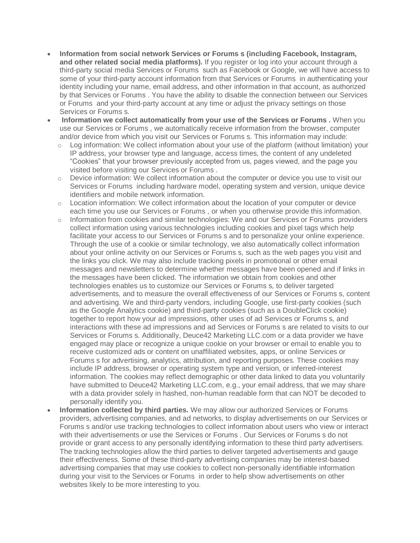- **Information from social network Services or Forums s (including Facebook, Instagram, and other related social media platforms).** If you register or log into your account through a third-party social media Services or Forums such as Facebook or Google, we will have access to some of your third-party account information from that Services or Forums in authenticating your identity including your name, email address, and other information in that account, as authorized by that Services or Forums . You have the ability to disable the connection between our Services or Forums and your third-party account at any time or adjust the privacy settings on those Services or Forums s.
- **Information we collect automatically from your use of the Services or Forums .** When you use our Services or Forums , we automatically receive information from the browser, computer and/or device from which you visit our Services or Forums s. This information may include:
	- $\circ$  Log information: We collect information about your use of the platform (without limitation) your IP address, your browser type and language, access times, the content of any undeleted "Cookies" that your browser previously accepted from us, pages viewed, and the page you visited before visiting our Services or Forums .
	- o Device information: We collect information about the computer or device you use to visit our Services or Forums including hardware model, operating system and version, unique device identifiers and mobile network information.
	- $\circ$  Location information: We collect information about the location of your computer or device each time you use our Services or Forums , or when you otherwise provide this information.
	- o Information from cookies and similar technologies: We and our Services or Forums providers collect information using various technologies including cookies and pixel tags which help facilitate your access to our Services or Forums s and to personalize your online experience. Through the use of a cookie or similar technology, we also automatically collect information about your online activity on our Services or Forums s, such as the web pages you visit and the links you click. We may also include tracking pixels in promotional or other email messages and newsletters to determine whether messages have been opened and if links in the messages have been clicked. The information we obtain from cookies and other technologies enables us to customize our Services or Forums s, to deliver targeted advertisements, and to measure the overall effectiveness of our Services or Forums s, content and advertising. We and third-party vendors, including Google, use first-party cookies (such as the Google Analytics cookie) and third-party cookies (such as a DoubleClick cookie) together to report how your ad impressions, other uses of ad Services or Forums s, and interactions with these ad impressions and ad Services or Forums s are related to visits to our Services or Forums s. Additionally, Deuce42 Marketing LLC.com or a data provider we have engaged may place or recognize a unique cookie on your browser or email to enable you to receive customized ads or content on unaffiliated websites, apps, or online Services or Forums s for advertising, analytics, attribution, and reporting purposes. These cookies may include IP address, browser or operating system type and version, or inferred-interest information. The cookies may reflect demographic or other data linked to data you voluntarily have submitted to Deuce42 Marketing LLC.com, e.g., your email address, that we may share with a data provider solely in hashed, non-human readable form that can NOT be decoded to personally identify you.
- **Information collected by third parties.** We may allow our authorized Services or Forums providers, advertising companies, and ad networks, to display advertisements on our Services or Forums s and/or use tracking technologies to collect information about users who view or interact with their advertisements or use the Services or Forums . Our Services or Forums s do not provide or grant access to any personally identifying information to these third party advertisers. The tracking technologies allow the third parties to deliver targeted advertisements and gauge their effectiveness. Some of these third-party advertising companies may be interest-based advertising companies that may use cookies to collect non-personally identifiable information during your visit to the Services or Forums in order to help show advertisements on other websites likely to be more interesting to you.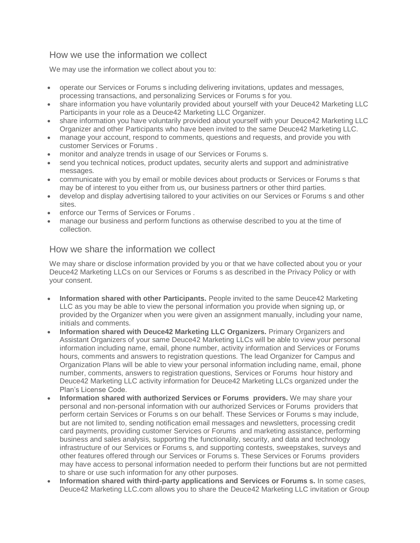## How we use the information we collect

We may use the information we collect about you to:

- operate our Services or Forums s including delivering invitations, updates and messages,
- processing transactions, and personalizing Services or Forums s for you.
- share information you have voluntarily provided about yourself with your Deuce42 Marketing LLC Participants in your role as a Deuce42 Marketing LLC Organizer.
- share information you have voluntarily provided about yourself with your Deuce42 Marketing LLC Organizer and other Participants who have been invited to the same Deuce42 Marketing LLC.
- manage your account, respond to comments, questions and requests, and provide you with customer Services or Forums .
- monitor and analyze trends in usage of our Services or Forums s.
- send you technical notices, product updates, security alerts and support and administrative messages.
- communicate with you by email or mobile devices about products or Services or Forums s that may be of interest to you either from us, our business partners or other third parties.
- develop and display advertising tailored to your activities on our Services or Forums s and other sites.
- enforce our Terms of Services or Forums .
- manage our business and perform functions as otherwise described to you at the time of collection.

#### How we share the information we collect

We may share or disclose information provided by you or that we have collected about you or your Deuce42 Marketing LLCs on our Services or Forums s as described in the Privacy Policy or with your consent.

- **Information shared with other Participants.** People invited to the same Deuce42 Marketing LLC as you may be able to view the personal information you provide when signing up, or provided by the Organizer when you were given an assignment manually, including your name, initials and comments.
- **Information shared with Deuce42 Marketing LLC Organizers.** Primary Organizers and Assistant Organizers of your same Deuce42 Marketing LLCs will be able to view your personal information including name, email, phone number, activity information and Services or Forums hours, comments and answers to registration questions. The lead Organizer for Campus and Organization Plans will be able to view your personal information including name, email, phone number, comments, answers to registration questions, Services or Forums hour history and Deuce42 Marketing LLC activity information for Deuce42 Marketing LLCs organized under the Plan's License Code.
- **Information shared with authorized Services or Forums providers.** We may share your personal and non-personal information with our authorized Services or Forums providers that perform certain Services or Forums s on our behalf. These Services or Forums s may include, but are not limited to, sending notification email messages and newsletters, processing credit card payments, providing customer Services or Forums and marketing assistance, performing business and sales analysis, supporting the functionality, security, and data and technology infrastructure of our Services or Forums s, and supporting contests, sweepstakes, surveys and other features offered through our Services or Forums s. These Services or Forums providers may have access to personal information needed to perform their functions but are not permitted to share or use such information for any other purposes.
- **Information shared with third-party applications and Services or Forums s.** In some cases, Deuce42 Marketing LLC.com allows you to share the Deuce42 Marketing LLC invitation or Group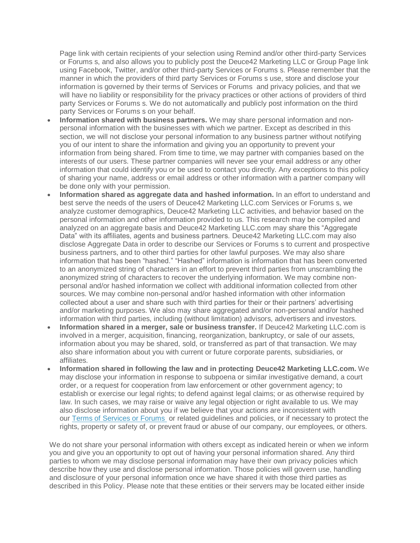Page link with certain recipients of your selection using Remind and/or other third-party Services or Forums s, and also allows you to publicly post the Deuce42 Marketing LLC or Group Page link using Facebook, Twitter, and/or other third-party Services or Forums s. Please remember that the manner in which the providers of third party Services or Forums s use, store and disclose your information is governed by their terms of Services or Forums and privacy policies, and that we will have no liability or responsibility for the privacy practices or other actions of providers of third party Services or Forums s. We do not automatically and publicly post information on the third party Services or Forums s on your behalf.

- **Information shared with business partners.** We may share personal information and nonpersonal information with the businesses with which we partner. Except as described in this section, we will not disclose your personal information to any business partner without notifying you of our intent to share the information and giving you an opportunity to prevent your information from being shared. From time to time, we may partner with companies based on the interests of our users. These partner companies will never see your email address or any other information that could identify you or be used to contact you directly. Any exceptions to this policy of sharing your name, address or email address or other information with a partner company will be done only with your permission.
- **Information shared as aggregate data and hashed information.** In an effort to understand and best serve the needs of the users of Deuce42 Marketing LLC.com Services or Forums s, we analyze customer demographics, Deuce42 Marketing LLC activities, and behavior based on the personal information and other information provided to us. This research may be compiled and analyzed on an aggregate basis and Deuce42 Marketing LLC.com may share this "Aggregate Data" with its affiliates, agents and business partners. Deuce42 Marketing LLC.com may also disclose Aggregate Data in order to describe our Services or Forums s to current and prospective business partners, and to other third parties for other lawful purposes. We may also share information that has been "hashed." "Hashed" information is information that has been converted to an anonymized string of characters in an effort to prevent third parties from unscrambling the anonymized string of characters to recover the underlying information. We may combine nonpersonal and/or hashed information we collect with additional information collected from other sources. We may combine non-personal and/or hashed information with other information collected about a user and share such with third parties for their or their partners' advertising and/or marketing purposes. We also may share aggregated and/or non-personal and/or hashed information with third parties, including (without limitation) advisors, advertisers and investors.
- **Information shared in a merger, sale or business transfer.** If Deuce42 Marketing LLC.com is involved in a merger, acquisition, financing, reorganization, bankruptcy, or sale of our assets, information about you may be shared, sold, or transferred as part of that transaction. We may also share information about you with current or future corporate parents, subsidiaries, or affiliates.
- **Information shared in following the law and in protecting Deuce42 Marketing LLC.com.** We may disclose your information in response to subpoena or similar investigative demand, a court order, or a request for cooperation from law enforcement or other government agency; to establish or exercise our legal rights; to defend against legal claims; or as otherwise required by law. In such cases, we may raise or waive any legal objection or right available to us. We may also disclose information about you if we believe that your actions are inconsistent with our [Terms of Services or Forums](https://signup.com/terms) or related guidelines and policies, or if necessary to protect the rights, property or safety of, or prevent fraud or abuse of our company, our employees, or others.

We do not share your personal information with others except as indicated herein or when we inform you and give you an opportunity to opt out of having your personal information shared. Any third parties to whom we may disclose personal information may have their own privacy policies which describe how they use and disclose personal information. Those policies will govern use, handling and disclosure of your personal information once we have shared it with those third parties as described in this Policy. Please note that these entities or their servers may be located either inside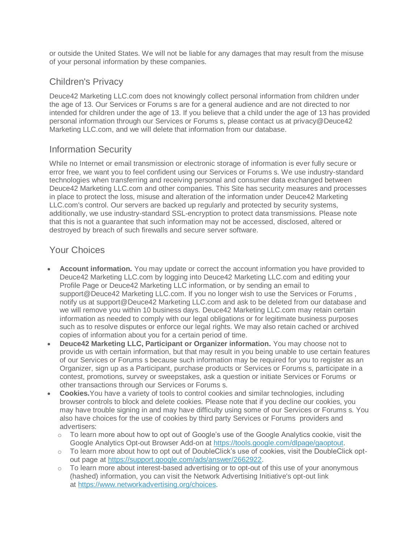or outside the United States. We will not be liable for any damages that may result from the misuse of your personal information by these companies.

# Children's Privacy

Deuce42 Marketing LLC.com does not knowingly collect personal information from children under the age of 13. Our Services or Forums s are for a general audience and are not directed to nor intended for children under the age of 13. If you believe that a child under the age of 13 has provided personal information through our Services or Forums s, please contact us at privacy@Deuce42 Marketing LLC.com, and we will delete that information from our database.

# Information Security

While no Internet or email transmission or electronic storage of information is ever fully secure or error free, we want you to feel confident using our Services or Forums s. We use industry-standard technologies when transferring and receiving personal and consumer data exchanged between Deuce42 Marketing LLC.com and other companies. This Site has security measures and processes in place to protect the loss, misuse and alteration of the information under Deuce42 Marketing LLC.com's control. Our servers are backed up regularly and protected by security systems, additionally, we use industry-standard SSL-encryption to protect data transmissions. Please note that this is not a guarantee that such information may not be accessed, disclosed, altered or destroyed by breach of such firewalls and secure server software.

# Your Choices

- **Account information.** You may update or correct the account information you have provided to Deuce42 Marketing LLC.com by logging into Deuce42 Marketing LLC.com and editing your Profile Page or Deuce42 Marketing LLC information, or by sending an email to support@Deuce42 Marketing LLC.com. If you no longer wish to use the Services or Forums, notify us at support@Deuce42 Marketing LLC.com and ask to be deleted from our database and we will remove you within 10 business days. Deuce42 Marketing LLC.com may retain certain information as needed to comply with our legal obligations or for legitimate business purposes such as to resolve disputes or enforce our legal rights. We may also retain cached or archived copies of information about you for a certain period of time.
- **Deuce42 Marketing LLC, Participant or Organizer information.** You may choose not to provide us with certain information, but that may result in you being unable to use certain features of our Services or Forums s because such information may be required for you to register as an Organizer, sign up as a Participant, purchase products or Services or Forums s, participate in a contest, promotions, survey or sweepstakes, ask a question or initiate Services or Forums or other transactions through our Services or Forums s.
- **Cookies.**You have a variety of tools to control cookies and similar technologies, including browser controls to block and delete cookies. Please note that if you decline our cookies, you may have trouble signing in and may have difficulty using some of our Services or Forums s. You also have choices for the use of cookies by third party Services or Forums providers and advertisers:
	- $\circ$  To learn more about how to opt out of Google's use of the Google Analytics cookie, visit the Google Analytics Opt-out Browser Add-on at [https://tools.google.com/dlpage/gaoptout.](https://tools.google.com/dlpage/gaoptout)
	- o To learn more about how to opt out of DoubleClick's use of cookies, visit the DoubleClick optout page at [https://support.google.com/ads/answer/2662922.](https://support.google.com/ads/answer/2662922)
	- o To learn more about interest-based advertising or to opt-out of this use of your anonymous (hashed) information, you can visit the Network Advertising Initiative's opt-out link at [https://www.networkadvertising.org/choices.](https://www.networkadvertising.org/choices)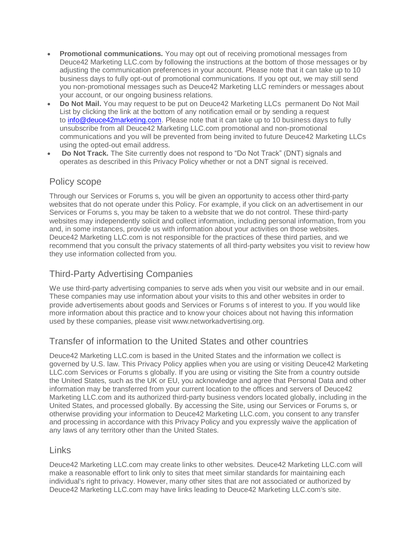- **Promotional communications.** You may opt out of receiving promotional messages from Deuce42 Marketing LLC.com by following the instructions at the bottom of those messages or by adjusting the communication preferences in your account. Please note that it can take up to 10 business days to fully opt-out of promotional communications. If you opt out, we may still send you non-promotional messages such as Deuce42 Marketing LLC reminders or messages about your account, or our ongoing business relations.
- **Do Not Mail.** You may request to be put on Deuce42 Marketing LLCs permanent Do Not Mail List by clicking the link at the bottom of any notification email or by sending a request to [info@deuce42marketing.com.](mailto:info@deuce42marketing.com) Please note that it can take up to 10 business days to fully unsubscribe from all Deuce42 Marketing LLC.com promotional and non-promotional communications and you will be prevented from being invited to future Deuce42 Marketing LLCs using the opted-out email address.
- **Do Not Track.** The Site currently does not respond to "Do Not Track" (DNT) signals and operates as described in this Privacy Policy whether or not a DNT signal is received.

#### Policy scope

Through our Services or Forums s, you will be given an opportunity to access other third-party websites that do not operate under this Policy. For example, if you click on an advertisement in our Services or Forums s, you may be taken to a website that we do not control. These third-party websites may independently solicit and collect information, including personal information, from you and, in some instances, provide us with information about your activities on those websites. Deuce42 Marketing LLC.com is not responsible for the practices of these third parties, and we recommend that you consult the privacy statements of all third-party websites you visit to review how they use information collected from you.

# Third-Party Advertising Companies

We use third-party advertising companies to serve ads when you visit our website and in our email. These companies may use information about your visits to this and other websites in order to provide advertisements about goods and Services or Forums s of interest to you. If you would like more information about this practice and to know your choices about not having this information used by these companies, please visit www.networkadvertising.org.

## Transfer of information to the United States and other countries

Deuce42 Marketing LLC.com is based in the United States and the information we collect is governed by U.S. law. This Privacy Policy applies when you are using or visiting Deuce42 Marketing LLC.com Services or Forums s globally. If you are using or visiting the Site from a country outside the United States, such as the UK or EU, you acknowledge and agree that Personal Data and other information may be transferred from your current location to the offices and servers of Deuce42 Marketing LLC.com and its authorized third-party business vendors located globally, including in the United States, and processed globally. By accessing the Site, using our Services or Forums s, or otherwise providing your information to Deuce42 Marketing LLC.com, you consent to any transfer and processing in accordance with this Privacy Policy and you expressly waive the application of any laws of any territory other than the United States.

#### Links

Deuce42 Marketing LLC.com may create links to other websites. Deuce42 Marketing LLC.com will make a reasonable effort to link only to sites that meet similar standards for maintaining each individual's right to privacy. However, many other sites that are not associated or authorized by Deuce42 Marketing LLC.com may have links leading to Deuce42 Marketing LLC.com's site.